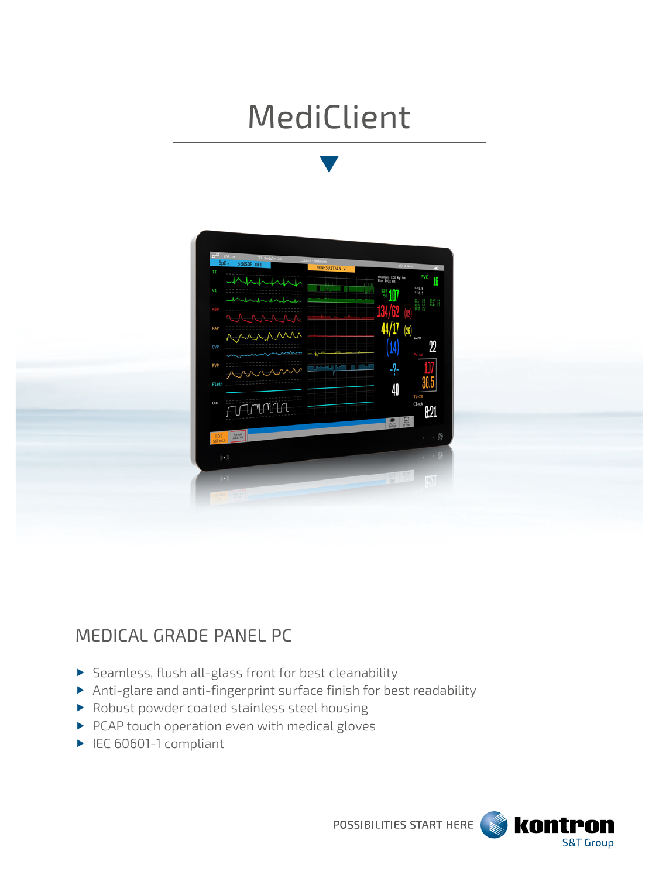# MediClient



## MEDICAL GRADE PANEL PC

- $\blacktriangleright$  Seamless, flush all-glass front for best cleanability
- Anti-glare and anti-fingerprint surface finish for best readability
- Robust powder coated stainless steel housing
- PCAP touch operation even with medical gloves
- ▶ IEC 60601-1 compliant

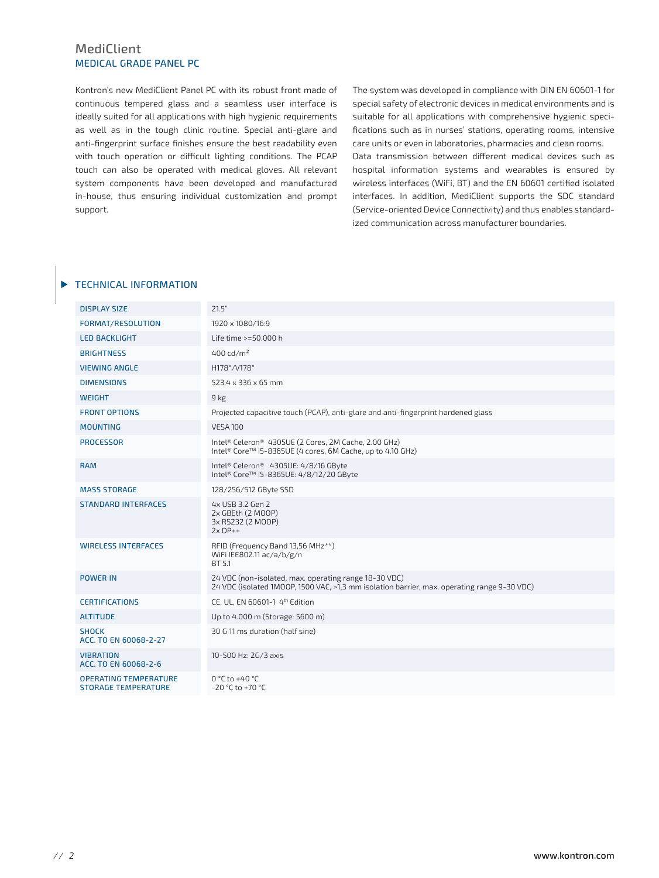#### MediClient MEDICAL GRADE PANEL PC

Kontron's new MediClient Panel PC with its robust front made of continuous tempered glass and a seamless user interface is ideally suited for all applications with high hygienic requirements as well as in the tough clinic routine. Special anti-glare and anti-fingerprint surface finishes ensure the best readability even with touch operation or difficult lighting conditions. The PCAP touch can also be operated with medical gloves. All relevant system components have been developed and manufactured in-house, thus ensuring individual customization and prompt support.

The system was developed in compliance with DIN EN 60601-1 for special safety of electronic devices in medical environments and is suitable for all applications with comprehensive hygienic specifications such as in nurses' stations, operating rooms, intensive care units or even in laboratories, pharmacies and clean rooms. Data transmission between different medical devices such as hospital information systems and wearables is ensured by wireless interfaces (WiFi, BT) and the EN 60601 certified isolated interfaces. In addition, MediClient supports the SDC standard (Service-oriented Device Connectivity) and thus enables standardized communication across manufacturer boundaries.

#### **TECHNICAL INFORMATION**

| <b>DISPLAY SIZE</b>                                        | 21.5"                                                                                                                                                |  |
|------------------------------------------------------------|------------------------------------------------------------------------------------------------------------------------------------------------------|--|
| FORMAT/RESOLUTION                                          | 1920 x 1080/16:9                                                                                                                                     |  |
| <b>LED BACKLIGHT</b>                                       | Life time >=50.000 h                                                                                                                                 |  |
| <b>BRIGHTNESS</b>                                          | 400 $\frac{rd}{m^2}$                                                                                                                                 |  |
| <b>VIEWING ANGLE</b>                                       | H178°/V178°                                                                                                                                          |  |
| <b>DIMENSIONS</b>                                          | 523,4 x 336 x 65 mm                                                                                                                                  |  |
| <b>WEIGHT</b>                                              | 9 <sub>kg</sub>                                                                                                                                      |  |
| <b>FRONT OPTIONS</b>                                       | Projected capacitive touch (PCAP), anti-glare and anti-fingerprint hardened glass                                                                    |  |
| <b>MOUNTING</b>                                            | <b>VESA 100</b>                                                                                                                                      |  |
| <b>PROCESSOR</b>                                           | Intel® Celeron® 4305UE (2 Cores, 2M Cache, 2.00 GHz)<br>Intel® Core™ i5-8365UE (4 cores, 6M Cache, up to 4.10 GHz)                                   |  |
| <b>RAM</b>                                                 | Intel® Celeron® 4305UE: 4/8/16 GByte<br>Intel® Core™ i5-8365UE: 4/8/12/20 GByte                                                                      |  |
| <b>MASS STORAGE</b>                                        | 128/256/512 GByte SSD                                                                                                                                |  |
| <b>STANDARD INTERFACES</b>                                 | 4x USB 3.2 Gen 2<br>2x GBEth (2 MOOP)<br>3x RS232 (2 MOOP)<br>$2xDP++$                                                                               |  |
| <b>WIRELESS INTERFACES</b>                                 | RFID (Frequency Band 13,56 MHz**)<br>WiFi IEE802.11 ac/a/b/g/n<br>BT 5.1                                                                             |  |
| <b>POWER IN</b>                                            | 24 VDC (non-isolated, max. operating range 18-30 VDC)<br>24 VDC (isolated 1MOOP, 1500 VAC, >1,3 mm isolation barrier, max. operating range 9-30 VDC) |  |
| <b>CERTIFICATIONS</b>                                      | CE. UL. EN 60601-1 4th Edition                                                                                                                       |  |
| <b>ALTITUDE</b>                                            | Up to 4.000 m (Storage: 5600 m)                                                                                                                      |  |
| <b>SHOCK</b><br>ACC. TO EN 60068-2-27                      | 30 G 11 ms duration (half sine)                                                                                                                      |  |
| <b>VIBRATION</b><br>ACC. TO EN 60068-2-6                   | 10-500 Hz: 2G/3 axis                                                                                                                                 |  |
| <b>OPERATING TEMPERATURE</b><br><b>STORAGE TEMPERATURE</b> | $0 °C$ to +40 °C<br>$-20$ °C to $+70$ °C                                                                                                             |  |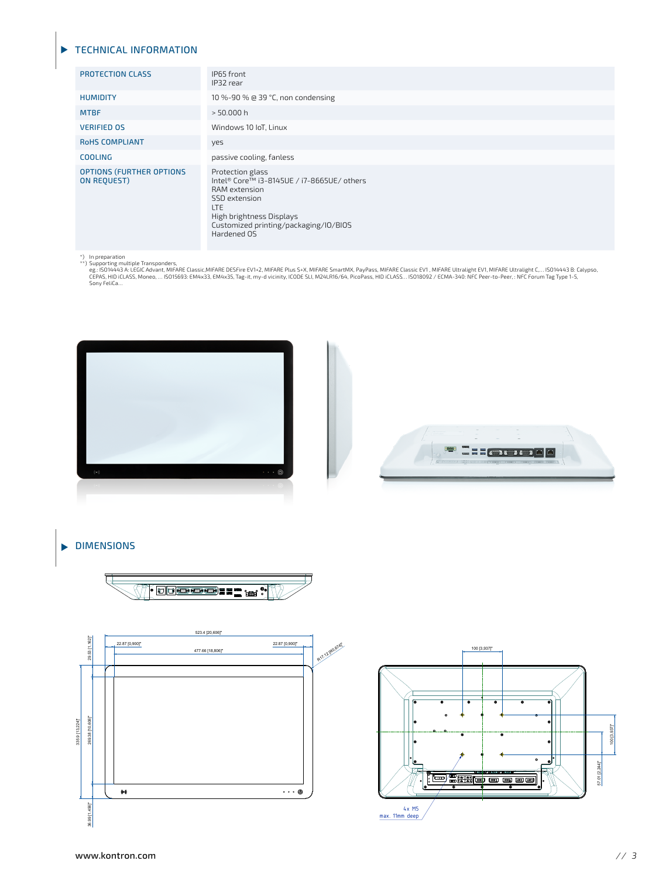#### **TECHNICAL INFORMATION**

| <b>PROTECTION CLASS</b>                               | IP65 front<br>IP32 rear                                                                                                                                                                            |  |
|-------------------------------------------------------|----------------------------------------------------------------------------------------------------------------------------------------------------------------------------------------------------|--|
| <b>HUMIDITY</b>                                       | 10 %-90 % @ 39 °C, non condensing                                                                                                                                                                  |  |
| <b>MTBF</b>                                           | > 50.000 h                                                                                                                                                                                         |  |
| <b>VERIFIED OS</b>                                    | Windows 10 IoT, Linux                                                                                                                                                                              |  |
| <b>ROHS COMPLIANT</b>                                 | yes                                                                                                                                                                                                |  |
| <b>COOLING</b>                                        | passive cooling, fanless                                                                                                                                                                           |  |
| <b>OPTIONS (FURTHER OPTIONS</b><br><b>ON REQUEST)</b> | Protection glass<br>Intel® Core™ i3-8145UE / i7-8665UE/ others<br>RAM extension<br>SSD extension<br><b>LTE</b><br>High brightness Displays<br>Customized printing/packaging/I0/BIOS<br>Hardened OS |  |

\*) In preparation<br>\*\*) Supporting multiple Transponders,<br>eg.: ISO14443 A: LEGIC Advant, MIFARE Classic,MIFARE DESFire EV1+2, MIFARE Plus S+X, MIFARE SmartMX, PayPass, MIFARE Classic EV1 , MIFARE Ultralight Cy... ISO14443 B:





de la provincia de la construcción de la construcción de la construcción de la construcción de la construcción

design to the contract of the contract of the contract of the contract of the contract of the contract of the c

### **DIMENSIONS**





design to the contract of the contract of the contract of the contract of the contract of the contract of the c

100 [3,937]"

100 [3,937]"

57.01 [2,244]"

57.01 [2,244]"

 $\overline{A}$ 

<u>。</u>